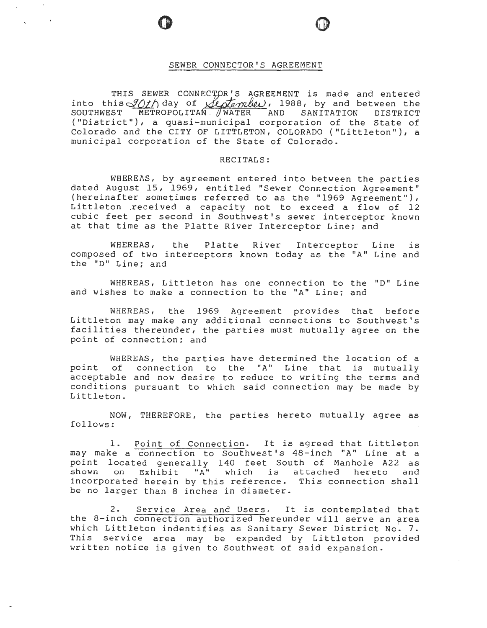## SEWER CONNECTOR'S AGREEMENT

THIS SEWER CONNECTOR'S AGREEMENT is made and entered into this *30th* day of *lestander*, 1988, by and between the sournwest METROPOLITAN *(WATER* AND SANITATION DISTRICT SOUTHWEST METROPOLITAN //WATER AND SANITATION DISTRICT ("District"), a quasi-municipal corporation of the State of Colorado and the CITY OF LITTLETON, COLORADO ("Littleton"), a municipal corporation of the State of Colorado.

## RECITALS:

WHEREAS, by agreement entered into between the parties dated August 15, 1969, entitled "Sewer Connection Agreement" (hereinafter sometimes referred to as the "1969 Agreement"), Littleton received a capacity not to exceed a flow of 12 cubic feet per second in Southwest's sewer interceptor known at that time as the Platte River Interceptor Line; and

WHEREAS, the Platte River Interceptor Line is composed of two interceptors known today as the "A" Line and the "D" Line; and

WHEREAS, Littleton has one connection to the "D" Line and wishes to make a connection to the ''A" Line; and

WHEREAS, the 1969 Agreement provides that before Littleton may make any additional connections to Southwest's facilities thereunder, the parties must mutually agree on the point of connection; and

WHEREAS, the parties have determined the location of a point of connection to the "A" Line that is mutually acceptable and now desire to reduce to writing the terms and conditions pursuant to which said connection may be made by Littleton.

NOW, THEREFORE, the parties hereto mutually agree as follows:

1. Point of Connection. It is agreed that Littleton may make a connection to Southwest's 48-inch "A" Line at a point located generally 140 feet South of Manhole A22 as shown on Exhibit " $A^{\prime\prime}$  which is attached hereto and incorporated herein by this reference. This connection shall be no larger than 8 inches in diameter.

2. Service Area and Users. It is contemplated that the 8-inch connection authorized hereunder will serve an prea which Littleton indentifies as Sanitary Sewer District No. 7. This service area may be expanded by Littleton provided written notice is given to Southwest of said expansion.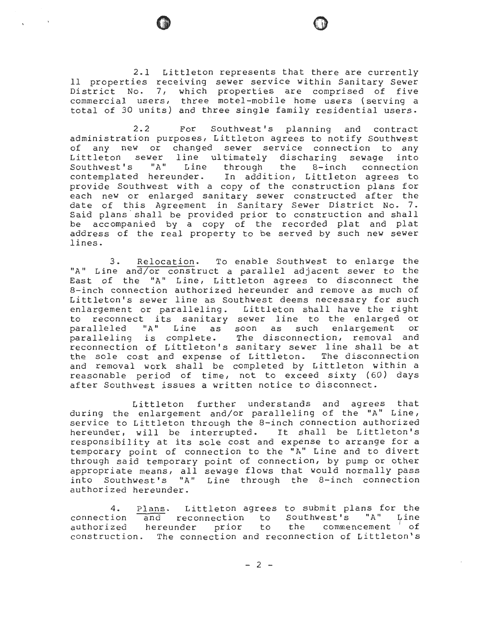2.1 Littleton represents that there are currently 11 properties receiving sewer service within Sanitary Sewer District No. 7, which properties are comprised of five commercial users, three motel-mobile home users (serving a total of 30 units) and three single family residential users.

2.2 For Southwest's planning and contract administration purposes, Littleton agrees to notify Southwest of any new or changed sewer service connection to any Littleton sewer line ultimately discharing sewage into Southwest's "A" Line through the 8-inch connection contemplated hereunder. In addition, Littleton agrees to provide Southwest with a copy of the construction plans for each new or enlarged sanitary sewer constructed after the date of this Agreement in Sanitary Sewer District No. 7. Said plans· shall be provided prior to construction and shall be accompanied by a copy of the recorded plat and plat address of the real property to be served by such new sewer lines.

3. Relocation. To enable Southwest to enlarge the "A" Line and/or construct a parallel adjacent sewer to the East of the "A" Line, Littleton agrees to disconnect the 8-inch connection authorized hereunder and remove as much of Littleton's sewer line as Southwest deems necessary for such enlargement or paralleling. Littleton shall have the right to reconnect its sanitary sewer line to the enlarged or paralleled "A" Line as soon as such enlargement or paralleling is complete. The disconnection, removal and reconnection of Littleton's sanitary sewer line shall be at the sole cost and expense of Littleton. The disconnection and removal work shall be completed by Littleton within a reasonable period of time, not to exceed sixty (60) days after Southwest issues a written notice to disconnect.

Littleton further understands and agrees that during the enlargement and/or paralleling of the "A" Line, service to Littleton through the 8-inch connection authorized hereunder, will be interrupted. It shall be Littleton's responsibility at its sole cost and expense to arrange for a temporary point of connection to the "A" Line and to divert through said temporary point of connection, by pump or other appropriate means, all sewage flows that would normally pass into Southwest's "A" Line through the 8-inch connection authorized hereunder.

4. connection authorized Plans. Littleton agrees to submit plans for the and reconnection to Southwest's "A" Line hereunder prior to the commencement of construction. The connection and reconnection of Littleton's

- 2 -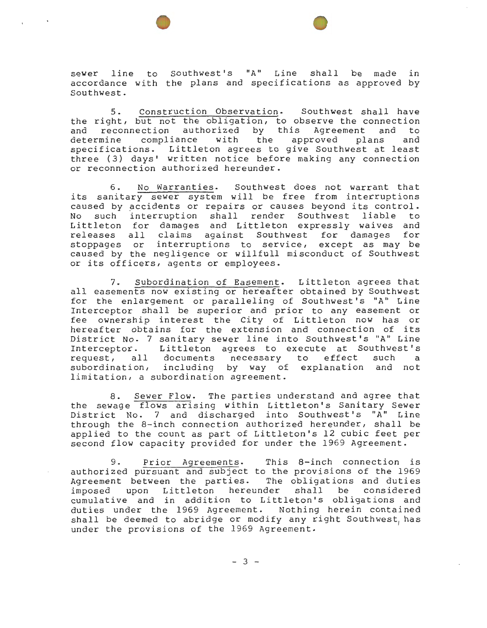sewer line to Southwest's "A" Line shall be made in accordance with the plans and specifications as approved by Southwest.

e

5. Construction Observation. Southwest shall have the right, but not the obligation, to observe the connection and reconnection authorized by this Agreement and to determine compliance with the approved plans and specifications. Littleton agrees to give Southwest at least three ( 3) days' written notice before making any connection or reconnection authorized hereunder.

6. No Warranties. Southwest does not warrant that its sanitary sewer system will be free from interruptions caused by accidents or repairs or causes beyond its control. No such interruption shall render Southwest liable to Littleton for damages and Littleton expressly waives and releases all claims against Southwest for damages for stoppages or interruptions to service, except as may be caused by the negligence or willfull misconduct of Southwest or its officers, agents or employees.

7. Subordination of Easement. Littleton agrees that all easements now existing or hereafter obtained by Southwest for the enlargement or paralleling of Southwest's "A" Line Interceptor shall be superior and prior to any easement or fee ownership interest the City of Littleton now has or hereafter obtains for the extension and connection of its District No. 7 sanitary sewer line into Southwest's "A" Line Interceptor. Littleton agrees to execute at Southwest's request, all documents necessary to effect such a subordination, including by way of explanation and not limitation, a subordination agreement.

8. Sewer Flow. The parties understand and agree that the sewage flows arising within Littleton's Sanitary Sewer District No. 7 and discharged into Southwest's "A" Line through the 8-inch connection authorized hereunder, shall be applied to the count as part of Littleton's 12 cubic feet per second flow capacity provided for under the 1969 Agreement.

9. Prior Agreements. This 8-inch connection is authorized pursuant and subject to the provisions of the 1969 Agreement between the parties. The obligations and duties imposed upon Littleton hereunder shall be considered cumulative and in addition to Littleton's obligations and duties under the 1969 Agreement. Nothing herein contained shall be deemed to abridge or modify any right Southwest, has under the provisions of the 1969 Agreement.